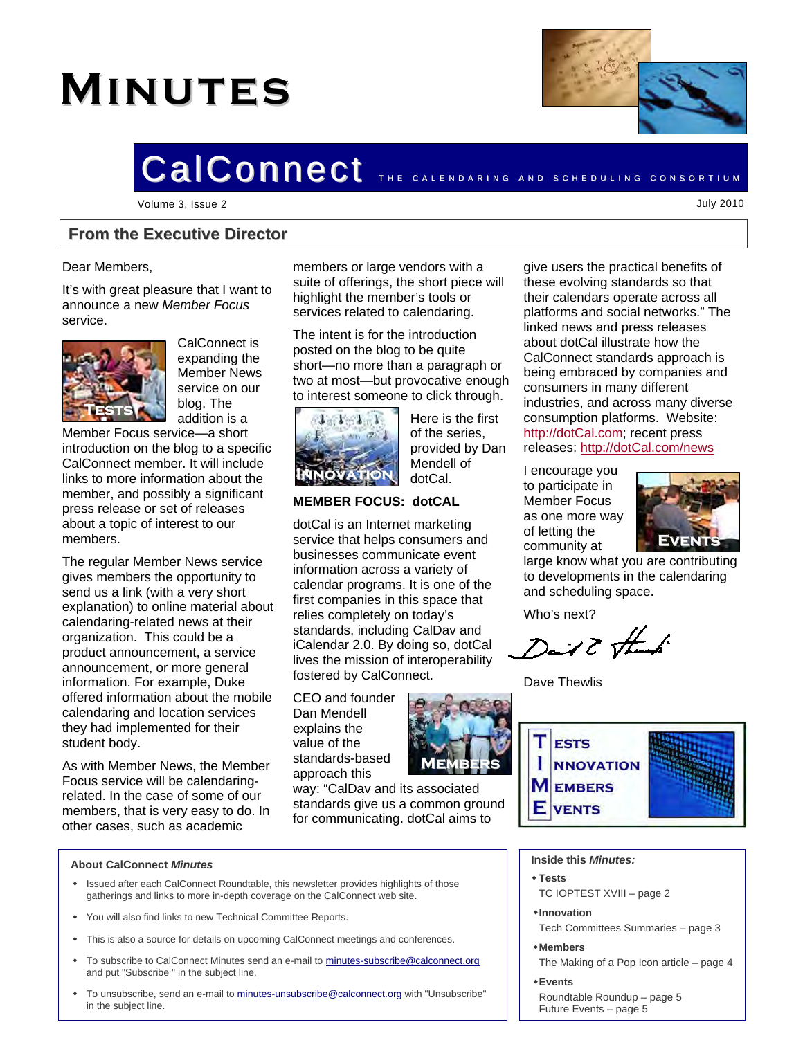# **Minutes**



## CalConnect The CALENDARING AND SCHEDULING CONSORTIUM

Volume 3, Issue 2 July 2010

#### **From the Executive Director**

#### Dear Members,

It's with great pleasure that I want to announce a new *Member Focus* service.



CalConnect is expanding the Member News service on our blog. The addition is a

Member Focus service—a short introduction on the blog to a specific CalConnect member. It will include links to more information about the member, and possibly a significant press release or set of releases about a topic of interest to our members.

The regular Member News service gives members the opportunity to send us a link (with a very short explanation) to online material about calendaring-related news at their organization. This could be a product announcement, a service announcement, or more general information. For example, Duke offered information about the mobile calendaring and location services they had implemented for their student body.

As with Member News, the Member Focus service will be calendaringrelated. In the case of some of our members, that is very easy to do. In other cases, such as academic

members or large vendors with a suite of offerings, the short piece will highlight the member's tools or services related to calendaring.

The intent is for the introduction posted on the blog to be quite short—no more than a paragraph or two at most—but provocative enough to interest someone to click through.



Here is the first of the series, provided by Dan Mendell of dotCal.

#### **MEMBER FOCUS: dotCAL**

dotCal is an Internet marketing service that helps consumers and businesses communicate event information across a variety of calendar programs. It is one of the first companies in this space that relies completely on today's standards, including CalDav and iCalendar 2.0. By doing so, dotCal lives the mission of interoperability fostered by CalConnect.

CEO and founder Dan Mendell explains the value of the standards-based approach this



way: "CalDav and its associated standards give us a common ground for communicating. dotCal aims to

give users the practical benefits of these evolving standards so that their calendars operate across all platforms and social networks." The linked news and press releases about dotCal illustrate how the CalConnect standards approach is being embraced by companies and consumers in many different industries, and across many diverse consumption platforms. Website: [http://dotCal.com](http://dotcal.com/); recent press releases: [http://dotCal.com/news](http://dotcal.com/news)

I encourage you to participate in Member Focus as one more way of letting the community at



large know what you are contributing to developments in the calendaring and scheduling space.

Who's next?

Dail & thank

Dave Thewlis



#### **About CalConnect** *Minutes*

- Issued after each CalConnect Roundtable, this newsletter provides highlights of those gatherings and links to more in-depth coverage on the CalConnect web site.
- You will also find links to new Technical Committee Reports.
- This is also a source for details on upcoming CalConnect meetings and conferences.
- To subscribe to CalConnect Minutes send an e-mail to [minutes-subscribe@calconnect.org](mailto:minutes@calconnect.org) and put "Subscribe " in the subject line.
- To unsubscribe, send an e-mail to [minutes-unsubscribe@calconnect.org](mailto:minutes-unsubscribe@calconnect.org) with "Unsubscribe" in the subject line.

#### **Inside this** *Minutes:*

- **Tests**
- TC IOPTEST XVIII page 2
- **Innovation**
- Tech Committees Summaries page 3
- **Members**
- The Making of a Pop Icon article page 4
- **Events**
- Roundtable Roundup page 5 Future Events – page 5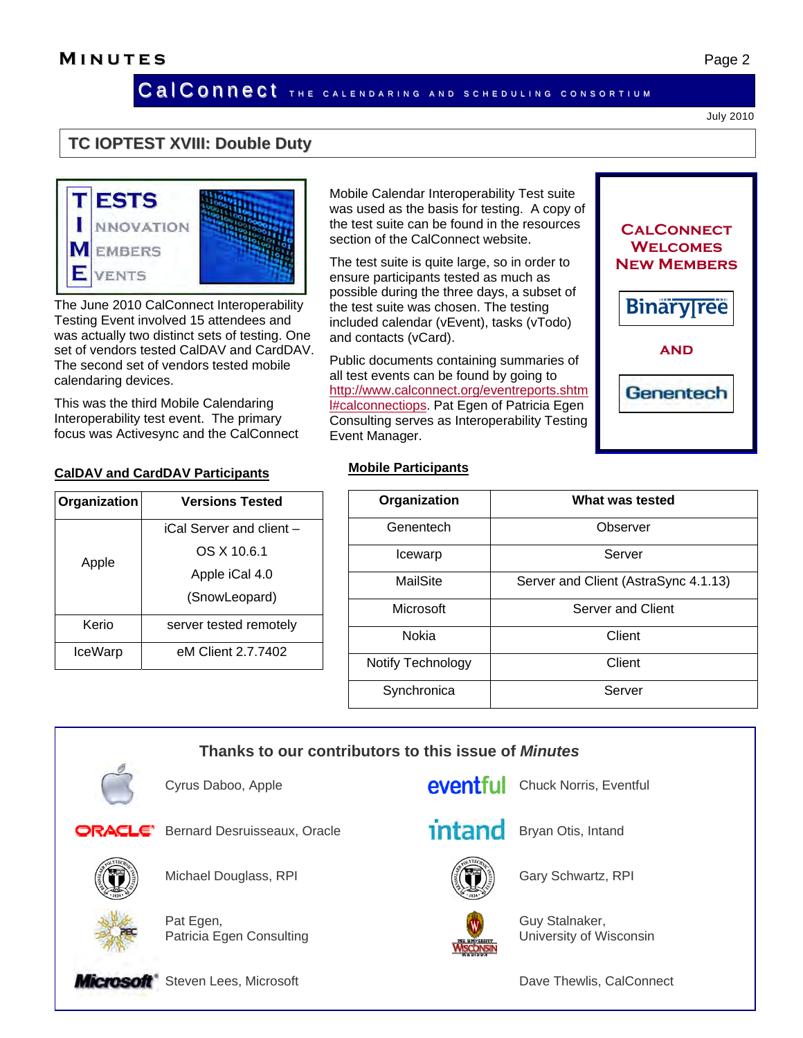Cal Connect THE CALENDARING AND SCHEDULING CONSORTIUM

Mobile Calendar Interoperability Test suite was used as the basis for testing. A copy of the test suite can be found in the resources

The test suite is quite large, so in order to ensure participants tested as much as possible during the three days, a subset of the test suite was chosen. The testing included calendar (vEvent), tasks (vTodo)

Public documents containing summaries of all test events can be found by going to [http://www.calconnect.org/eventreports.shtm](http://www.calconnect.org/eventreports.shtml#calconnectiops) **HECALCONNECTIOPS.** Pat Egen of Patricia Egen Consulting serves as Interoperability Testing

section of the CalConnect website.

July 2010

#### **TC IOPTEST XVIII: Double Duty**



The June 2010 CalConnect Interoperability Testing Event involved 15 attendees and was actually two distinct sets of testing. One set of vendors tested CalDAV and CardDAV. The second set of vendors tested mobile calendaring devices.

This was the third Mobile Calendaring Interoperability test event. The primary focus was Activesync and the CalConnect

 **CalDAV and CardDAV Participants**

**Organization Versions Tested**  Apple iCal Server and client – OS X 10.6.1 Apple iCal 4.0 [\(SnowLeopard\)](http://wiki.calconnect.org/vqwiki-2.7.91/jsp/Wiki?topic=SnowLeopard&action=action_edit) Kerio | server tested remotely IceWarp eM Client 2.7.7402

**Mobile Participants** Event Manager.

and contacts (vCard).

| Organization      | What was tested                      |
|-------------------|--------------------------------------|
| Genentech         | Observer                             |
| Icewarp           | Server                               |
| MailSite          | Server and Client (AstraSync 4.1.13) |
| Microsoft         | Server and Client                    |
| Nokia             | Client                               |
| Notify Technology | Client                               |
| Synchronica       | Server                               |

**Thanks to our contributors to this issue of** *Minutes*

Cyrus Daboo, Apple **Chuck Norris Chuck Norris**, Eventful



Bernard Desruisseaux, Oracle **Britan Bryan Otis, Intand** 



Michael Douglass, RPI Gary Schwartz, RPI



Pat Egen, Guy Stalnaker, Guy Stalnaker, Patricia Egen Consulting The Consulting Consulting Lease Consulting Lease Consulting Lease Consulting Consulting Lease Consulting Lease Consulting Lease Consulting Lease Consulting Lease Consulting Lease Consulting Lease C





**Microsoft** Steven Lees, Microsoft **Dave Thewlis, CalConnect** Dave Thewlis, CalConnect

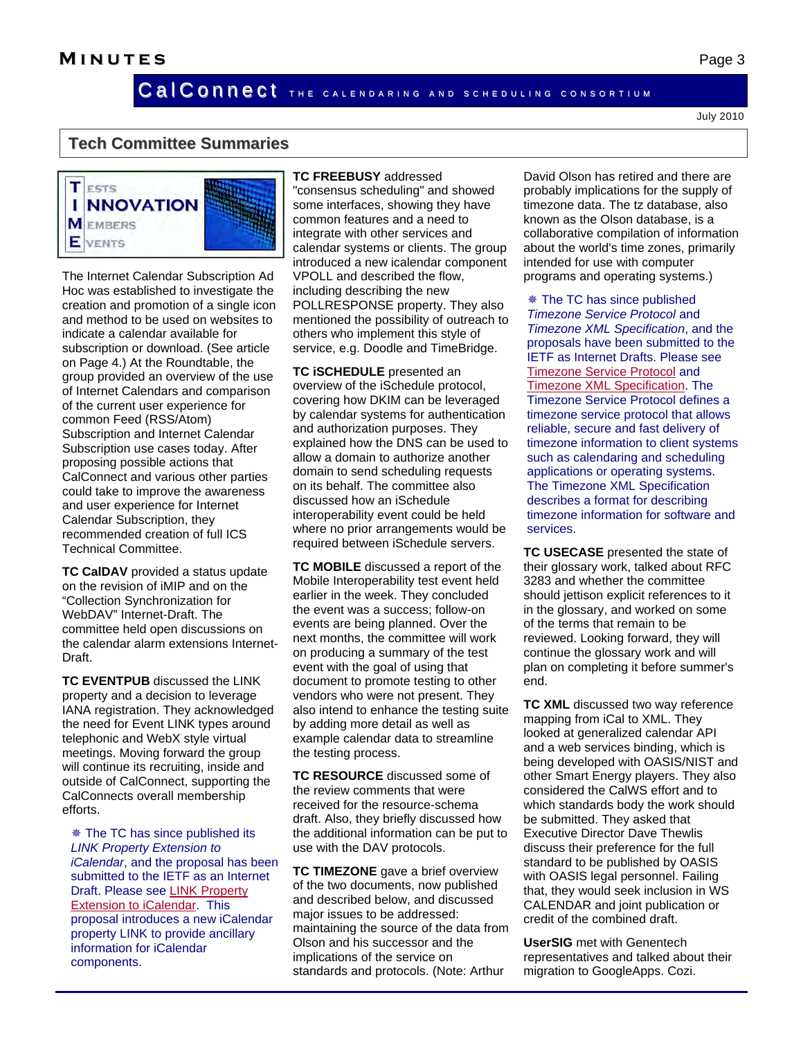Cal Connect The CALENDARING AND SCHEDULING CONSORTIUM

July 2010

#### **Tech Committee Summaries**



The Internet Calendar Subscription Ad Hoc was established to investigate the creation and promotion of a single icon and method to be used on websites to indicate a calendar available for subscription or download. (See article on Page 4.) At the Roundtable, the group provided an overview of the use of Internet Calendars and comparison of the current user experience for common Feed (RSS/Atom) Subscription and Internet Calendar Subscription use cases today. After proposing possible actions that CalConnect and various other parties could take to improve the awareness and user experience for Internet Calendar Subscription, they recommended creation of full ICS Technical Committee.

**TC CalDAV** provided a status update on the revision of iMIP and on the "Collection Synchronization for WebDAV" Internet-Draft. The committee held open discussions on the calendar alarm extensions Internet-Draft.

**TC EVENTPUB** discussed the LINK property and a decision to leverage IANA registration. They acknowledged the need for Event LINK types around telephonic and WebX style virtual meetings. Moving forward the group will continue its recruiting, inside and outside of CalConnect, supporting the CalConnects overall membership efforts.

 The TC has since published its *LINK Property Extension to iCalendar*, and the proposal has been submitted to the IETF as an Internet Draft. Please see [LINK Property](http://www.calconnect.org/CD1006%20LINK%20Property.shtml)  [Extension to iCalendar.](http://www.calconnect.org/CD1006%20LINK%20Property.shtml) This proposal introduces a new iCalendar property LINK to provide ancillary information for iCalendar components.

**TC FREEBUSY** addressed "consensus scheduling" and showed some interfaces, showing they have common features and a need to integrate with other services and calendar systems or clients. The group introduced a new icalendar component VPOLL and described the flow, including describing the new POLLRESPONSE property. They also mentioned the possibility of outreach to others who implement this style of service, e.g. Doodle and TimeBridge.

**TC iSCHEDULE** presented an overview of the iSchedule protocol, covering how DKIM can be leveraged by calendar systems for authentication and authorization purposes. They explained how the DNS can be used to allow a domain to authorize another domain to send scheduling requests on its behalf. The committee also discussed how an iSchedule interoperability event could be held where no prior arrangements would be required between iSchedule servers.

**TC MOBILE** discussed a report of the Mobile Interoperability test event held earlier in the week. They concluded the event was a success; follow-on events are being planned. Over the next months, the committee will work on producing a summary of the test event with the goal of using that document to promote testing to other vendors who were not present. They also intend to enhance the testing suite by adding more detail as well as example calendar data to streamline the testing process.

**TC RESOURCE** discussed some of the review comments that were received for the resource-schema draft. Also, they briefly discussed how the additional information can be put to use with the DAV protocols.

**TC TIMEZONE** gave a brief overview of the two documents, now published and described below, and discussed major issues to be addressed: maintaining the source of the data from Olson and his successor and the implications of the service on standards and protocols. (Note: Arthur

David Olson has retired and there are probably implications for the supply of timezone data. The tz database, also known as the Olson database, is a collaborative compilation of information about the world's time zones, primarily intended for use with computer programs and operating systems.)

 The TC has since published *Timezone Service Protocol* and *Timezone XML Specification*, and the proposals have been submitted to the IETF as Internet Drafts. Please see [Timezone Service Protocol](http://www.calconnect.org/CD1007%20Timezone%20Service.shtml) and [Timezone XML Specification](http://www.calconnect.org/CD1008%20Timezone%20XML.shtml). The Timezone Service Protocol defines a timezone service protocol that allows reliable, secure and fast delivery of timezone information to client systems such as calendaring and scheduling applications or operating systems. The Timezone XML Specification describes a format for describing timezone information for software and services.

**TC USECASE** presented the state of their glossary work, talked about RFC 3283 and whether the committee should jettison explicit references to it in the glossary, and worked on some of the terms that remain to be reviewed. Looking forward, they will continue the glossary work and will plan on completing it before summer's end.

**TC XML** discussed two way reference mapping from iCal to XML. They looked at generalized calendar API and a web services binding, which is being developed with OASIS/NIST and other Smart Energy players. They also considered the CalWS effort and to which standards body the work should be submitted. They asked that Executive Director Dave Thewlis discuss their preference for the full standard to be published by OASIS with OASIS legal personnel. Failing that, they would seek inclusion in WS CALENDAR and joint publication or credit of the combined draft.

**UserSIG** met with Genentech representatives and talked about their migration to GoogleApps. Cozi.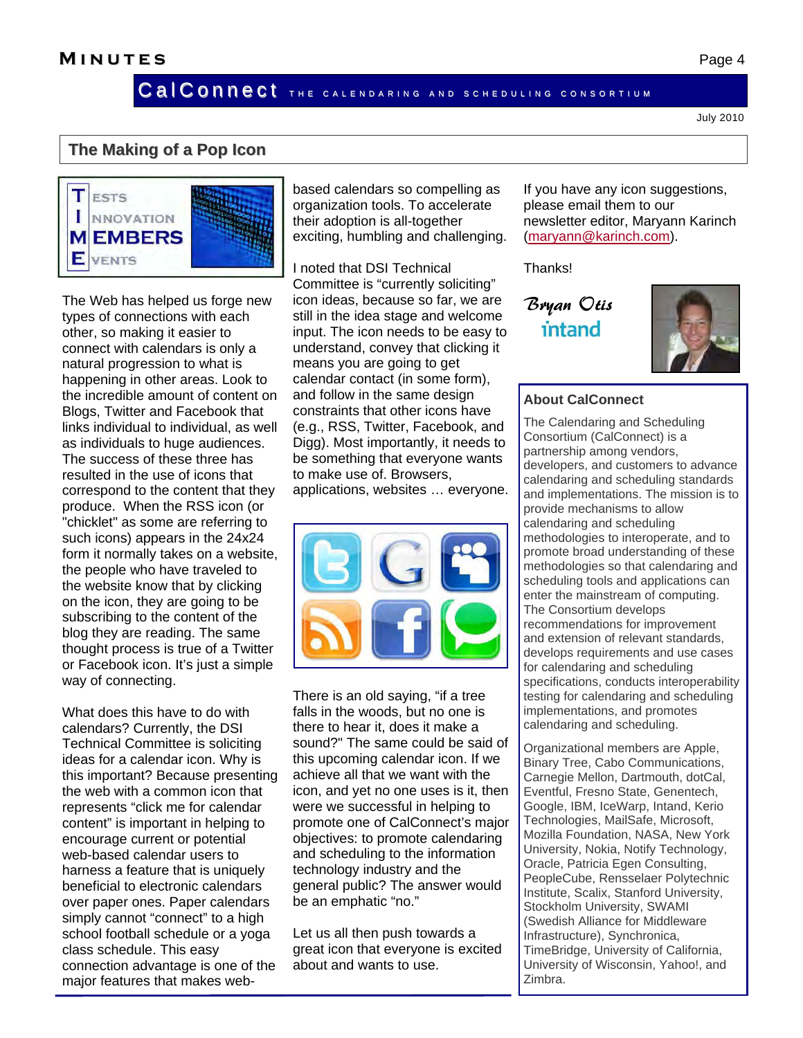Cal Connect The CALENDARING AND SCHEDULING CONSORTIUM

#### July 2010

#### **The Making of a Pop Icon**



The Web has helped us forge new types of connections with each other, so making it easier to connect with calendars is only a natural progression to what is happening in other areas. Look to the incredible amount of content on Blogs, Twitter and Facebook that links individual to individual, as well as individuals to huge audiences. The success of these three has resulted in the use of icons that correspond to the content that they produce. When the RSS icon (or "chicklet" as some are referring to such icons) appears in the 24x24 form it normally takes on a website, the people who have traveled to the website know that by clicking on the icon, they are going to be subscribing to the content of the blog they are reading. The same thought process is true of a Twitter or Facebook icon. It's just a simple way of connecting.

What does this have to do with calendars? Currently, the DSI Technical Committee is soliciting ideas for a calendar icon. Why is this important? Because presenting the web with a common icon that represents "click me for calendar content" is important in helping to encourage current or potential web-based calendar users to harness a feature that is uniquely beneficial to electronic calendars over paper ones. Paper calendars simply cannot "connect" to a high school football schedule or a yoga class schedule. This easy connection advantage is one of the major features that makes webbased calendars so compelling as organization tools. To accelerate their adoption is all-together exciting, humbling and challenging.

I noted that DSI Technical Committee is "currently soliciting" icon ideas, because so far, we are still in the idea stage and welcome input. The icon needs to be easy to understand, convey that clicking it means you are going to get calendar contact (in some form), and follow in the same design constraints that other icons have (e.g., RSS, Twitter, Facebook, and Digg). Most importantly, it needs to be something that everyone wants to make use of. Browsers, applications, websites … everyone.



There is an old saying, "if a tree falls in the woods, but no one is there to hear it, does it make a sound?" The same could be said of this upcoming calendar icon. If we achieve all that we want with the icon, and yet no one uses is it, then were we successful in helping to promote one of CalConnect's major objectives: to promote calendaring and scheduling to the information technology industry and the general public? The answer would be an emphatic "no."

Let us all then push towards a great icon that everyone is excited about and wants to use.

If you have any icon suggestions, please email them to our newsletter editor, Maryann Karinch ([maryann@karinch.com](mailto:maryann@karinch.com)).

Thanks!

Bryan Otis intand



#### **About CalConnect**

The Calendaring and Scheduling Consortium (CalConnect) is a partnership among vendors, developers, and customers to advance calendaring and scheduling standards and implementations. The mission is to provide mechanisms to allow calendaring and scheduling methodologies to interoperate, and to promote broad understanding of these methodologies so that calendaring and scheduling tools and applications can enter the mainstream of computing. The Consortium develops recommendations for improvement and extension of relevant standards, develops requirements and use cases for calendaring and scheduling specifications, conducts interoperability testing for calendaring and scheduling implementations, and promotes calendaring and scheduling.

Organizational members are Apple, Binary Tree, Cabo Communications, Carnegie Mellon, Dartmouth, dotCal, Eventful, Fresno State, Genentech, Google, IBM, IceWarp, Intand, Kerio Technologies, MailSafe, Microsoft, Mozilla Foundation, NASA, New York University, Nokia, Notify Technology, Oracle, Patricia Egen Consulting, PeopleCube, Rensselaer Polytechnic Institute, Scalix, Stanford University, Stockholm University, SWAMI (Swedish Alliance for Middleware Infrastructure), Synchronica, TimeBridge, University of California, University of Wisconsin, Yahoo!, and Zimbra.